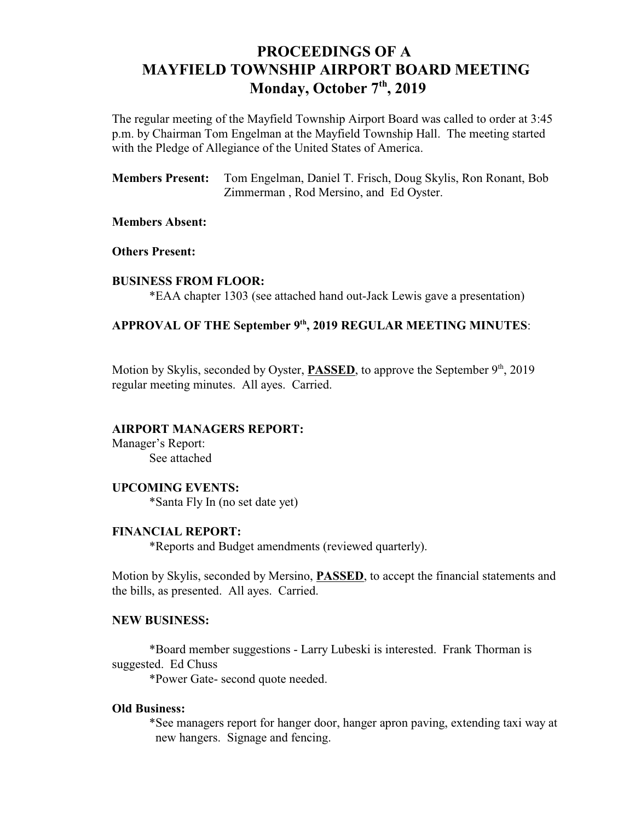# **PROCEEDINGS OF A MAYFIELD TOWNSHIP AIRPORT BOARD MEETING** Monday, October 7<sup>th</sup>, 2019

The regular meeting of the Mayfield Township Airport Board was called to order at 3:45 p.m. by Chairman Tom Engelman at the Mayfield Township Hall. The meeting started with the Pledge of Allegiance of the United States of America.

**Members Present:** Tom Engelman, Daniel T. Frisch, Doug Skylis, Ron Ronant, Bob Zimmerman , Rod Mersino, and Ed Oyster.

## **Members Absent:**

**Others Present:**

#### **BUSINESS FROM FLOOR:**

\*EAA chapter 1303 (see attached hand out-Jack Lewis gave a presentation)

## APPROVAL OF THE September 9<sup>th</sup>, 2019 REGULAR MEETING MINUTES:

Motion by Skylis, seconded by Oyster, **PASSED**, to approve the September 9<sup>th</sup>, 2019 regular meeting minutes. All ayes. Carried.

#### **AIRPORT MANAGERS REPORT:**

Manager's Report: See attached

# **UPCOMING EVENTS:**

\*Santa Fly In (no set date yet)

## **FINANCIAL REPORT:**

\*Reports and Budget amendments (reviewed quarterly).

Motion by Skylis, seconded by Mersino, **PASSED**, to accept the financial statements and the bills, as presented. All ayes. Carried.

#### **NEW BUSINESS:**

\*Board member suggestions - Larry Lubeski is interested. Frank Thorman is suggested. Ed Chuss

\*Power Gate- second quote needed.

### **Old Business:**

\*See managers report for hanger door, hanger apron paving, extending taxi way at new hangers. Signage and fencing.